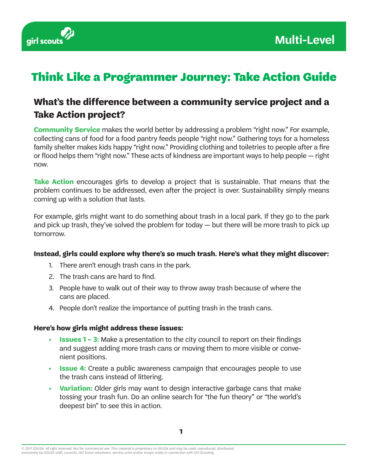

# Think Like a Programmer Journey: Take Action Guide

### **What's the difference between a community service project and a Take Action project?**

**Community Service** makes the world better by addressing a problem "right now." For example, collecting cans of food for a food pantry feeds people "right now." Gathering toys for a homeless family shelter makes kids happy "right now." Providing clothing and toiletries to people after a fire or flood helps them "right now." These acts of kindness are important ways to help people — right now.

**Take Action** encourages girls to develop a project that is sustainable. That means that the problem continues to be addressed, even after the project is over. Sustainability simply means coming up with a solution that lasts.

For example, girls might want to do something about trash in a local park. If they go to the park and pick up trash, they've solved the problem for today — but there will be more trash to pick up tomorrow.

#### **Instead, girls could explore why there's so much trash. Here's what they might discover:**

- 1. There aren't enough trash cans in the park.
- 2. The trash cans are hard to find.
- 3. People have to walk out of their way to throw away trash because of where the cans are placed.
- 4. People don't realize the importance of putting trash in the trash cans.

#### **Here's how girls might address these issues:**

- **• Issues 1 3:** Make a presentation to the city council to report on their findings and suggest adding more trash cans or moving them to more visible or convenient positions.
- **• Issue 4:** Create a public awareness campaign that encourages people to use the trash cans instead of littering.
- **• Variation:** Older girls may want to design interactive garbage cans that make tossing your trash fun. Do an online search for "the fun theory" or "the world's deepest bin" to see this in action.

<sup>© 2017</sup> GSUSA. All right reserved. Not for commercial use. This material is proprietary to GSUSA and may be used, reproduced, distributed<br>exclusively by GSUSA staff, councils, Girl Scout volunteers, service units and/or tro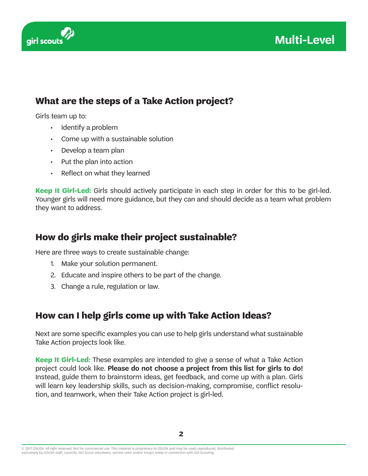

### **What are the steps of a Take Action project?**

Girls team up to:

- Identify a problem
- Come up with a sustainable solution
- Develop a team plan
- Put the plan into action
- Reflect on what they learned

**Keep It Girl-Led:** Girls should actively participate in each step in order for this to be girl-led. Younger girls will need more guidance, but they can and should decide as a team what problem they want to address.

### **How do girls make their project sustainable?**

Here are three ways to create sustainable change:

- 1. Make your solution permanent.
- 2. Educate and inspire others to be part of the change.
- 3. Change a rule, regulation or law.

### **How can I help girls come up with Take Action Ideas?**

Next are some specific examples you can use to help girls understand what sustainable Take Action projects look like.

**Keep It Girl-Led:** These examples are intended to give a sense of what a Take Action project could look like. **Please do not choose a project from this list for girls to do!** Instead, guide them to brainstorm ideas, get feedback, and come up with a plan. Girls will learn key leadership skills, such as decision-making, compromise, conflict resolution, and teamwork, when their Take Action project is girl-led.

<sup>© 2017</sup> GSUSA. All right reserved. Not for commercial use. This material is proprietary to GSUSA and may be used, reproduced, distributed<br>exclusively by GSUSA staff, councils, Girl Scout volunteers, service units and/or tro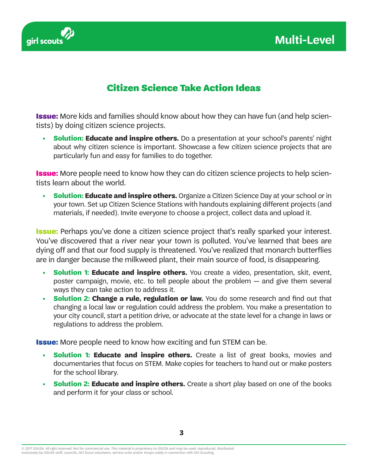



#### Citizen Science Take Action Ideas

**Issue:** More kids and families should know about how they can have fun (and help scientists) by doing citizen science projects.

**• Solution: Educate and inspire others.** Do a presentation at your school's parents' night about why citizen science is important. Showcase a few citizen science projects that are particularly fun and easy for families to do together.

**Issue:** More people need to know how they can do citizen science projects to help scientists learn about the world.

**Solution: Educate and inspire others.** Organize a Citizen Science Day at your school or in your town. Set up Citizen Science Stations with handouts explaining different projects (and materials, if needed). Invite everyone to choose a project, collect data and upload it.

**Issue:** Perhaps you've done a citizen science project that's really sparked your interest. You've discovered that a river near your town is polluted. You've learned that bees are dying off and that our food supply is threatened. You've realized that monarch butterflies are in danger because the milkweed plant, their main source of food, is disappearing.

- **Solution 1: Educate and inspire others.** You create a video, presentation, skit, event, poster campaign, movie, etc. to tell people about the problem — and give them several ways they can take action to address it.
- **•• Solution 2: Change a rule, regulation or law.** You do some research and find out that changing a local law or regulation could address the problem. You make a presentation to your city council, start a petition drive, or advocate at the state level for a change in laws or regulations to address the problem.

**Issue:** More people need to know how exciting and fun STEM can be.

- **Solution 1: Educate and inspire others.** Create a list of great books, movies and documentaries that focus on STEM. Make copies for teachers to hand out or make posters for the school library.
- **Solution 2: Educate and inspire others.** Create a short play based on one of the books and perform it for your class or school.

<sup>© 2017</sup> GSUSA. All right reserved. Not for commercial use. This material is proprietary to GSUSA and may be used, reproduced, distributed<br>exclusively by GSUSA staff, councils, Girl Scout volunteers, service units and/or tro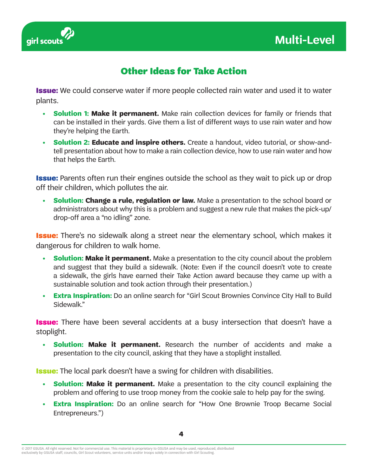

### Other Ideas for Take Action

**Issue:** We could conserve water if more people collected rain water and used it to water plants.

- **• Solution 1: Make it permanent.** Make rain collection devices for family or friends that can be installed in their yards. Give them a list of different ways to use rain water and how they're helping the Earth.
- **• Solution 2: Educate and inspire others.** Create a handout, video tutorial, or show-andtell presentation about how to make a rain collection device, how to use rain water and how that helps the Earth.

**Issue:** Parents often run their engines outside the school as they wait to pick up or drop off their children, which pollutes the air.

**• Solution: Change a rule, regulation or law.** Make a presentation to the school board or administrators about why this is a problem and suggest a new rule that makes the pick-up/ drop-off area a "no idling" zone.

**Issue:** There's no sidewalk along a street near the elementary school, which makes it dangerous for children to walk home.

- **•• Solution: Make it permanent.** Make a presentation to the city council about the problem and suggest that they build a sidewalk. (Note: Even if the council doesn't vote to create a sidewalk, the girls have earned their Take Action award because they came up with a sustainable solution and took action through their presentation.)
- **• Extra Inspiration:** Do an online search for "Girl Scout Brownies Convince City Hall to Build Sidewalk."

**Issue:** There have been several accidents at a busy intersection that doesn't have a stoplight.

**• Solution: Make it permanent.** Research the number of accidents and make a presentation to the city council, asking that they have a stoplight installed.

**Issue:** The local park doesn't have a swing for children with disabilities.

- **•• Solution: Make it permanent.** Make a presentation to the city council explaining the problem and offering to use troop money from the cookie sale to help pay for the swing.
- **• Extra Inspiration:** Do an online search for "How One Brownie Troop Became Social Entrepreneurs.")

<sup>© 2017</sup> GSUSA. All right reserved. Not for commercial use. This material is proprietary to GSUSA and may be used, reproduced, distributed<br>exclusively by GSUSA staff, councils, Girl Scout volunteers, service units and/or tro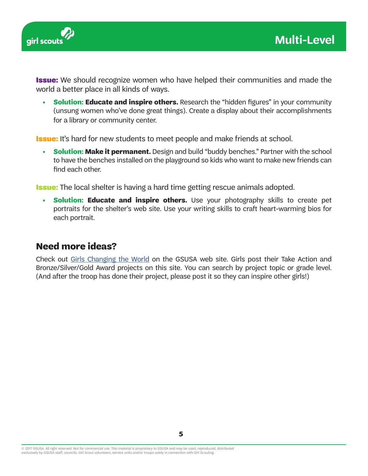

**Issue:** We should recognize women who have helped their communities and made the world a better place in all kinds of ways.

**• Solution: Educate and inspire others.** Research the "hidden figures" in your community (unsung women who've done great things). Create a display about their accomplishments for a library or community center.

**Issue:** It's hard for new students to meet people and make friends at school.

**• Solution: Make it permanent.** Design and build "buddy benches." Partner with the school to have the benches installed on the playground so kids who want to make new friends can find each other.

**Issue:** The local shelter is having a hard time getting rescue animals adopted.

**• Solution: Educate and inspire others.** Use your photography skills to create pet portraits for the shelter's web site. Use your writing skills to craft heart-warming bios for each portrait.

#### **Need more ideas?**

Check out Girls Changing the World on the GSUSA web site. Girls post their Take Action and Bronze/Silver/Gold Award projects on this site. You can search by project topic or grade level. (And after the troop has done their project, please post it so they can inspire other girls!)